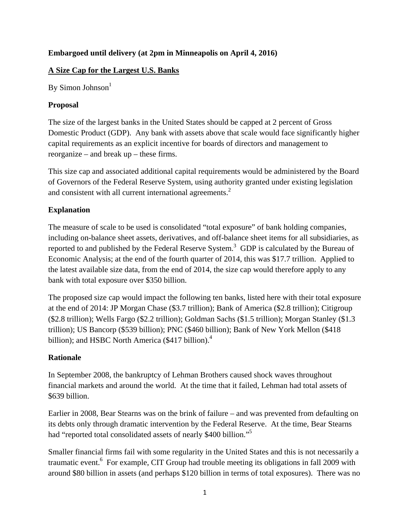## **Embargoed until delivery (at 2pm in Minneapolis on April 4, 2016)**

## **A Size Cap for the Largest U.S. Banks**

By Simon Johnson $<sup>1</sup>$ </sup>

### **Proposal**

The size of the largest banks in the United States should be capped at 2 percent of Gross Domestic Product (GDP). Any bank with assets above that scale would face significantly higher capital requirements as an explicit incentive for boards of directors and management to reorganize – and break up – these firms.

This size cap and associated additional capital requirements would be administered by the Board of Governors of the Federal Reserve System, using authority granted under existing legislation and consistent with all current international agreements.<sup>2</sup>

## **Explanation**

The measure of scale to be used is consolidated "total exposure" of bank holding companies, including on-balance sheet assets, derivatives, and off-balance sheet items for all subsidiaries, as reported to and published by the Federal Reserve System.<sup>3</sup> GDP is calculated by the Bureau of Economic Analysis; at the end of the fourth quarter of 2014, this was \$17.7 trillion. Applied to the latest available size data, from the end of 2014, the size cap would therefore apply to any bank with total exposure over \$350 billion.

The proposed size cap would impact the following ten banks, listed here with their total exposure at the end of 2014: JP Morgan Chase (\$3.7 trillion); Bank of America (\$2.8 trillion); Citigroup (\$2.8 trillion); Wells Fargo (\$2.2 trillion); Goldman Sachs (\$1.5 trillion); Morgan Stanley (\$1.3 trillion); US Bancorp (\$539 billion); PNC (\$460 billion); Bank of New York Mellon (\$418 billion); and HSBC North America  $(\$417\ billion)^4$ .

#### **Rationale**

In September 2008, the bankruptcy of Lehman Brothers caused shock waves throughout financial markets and around the world. At the time that it failed, Lehman had total assets of \$639 billion.

Earlier in 2008, Bear Stearns was on the brink of failure – and was prevented from defaulting on its debts only through dramatic intervention by the Federal Reserve. At the time, Bear Stearns had "reported total consolidated assets of nearly \$400 billion."<sup>5</sup>

Smaller financial firms fail with some regularity in the United States and this is not necessarily a traumatic event.<sup>6</sup> For example, CIT Group had trouble meeting its obligations in fall 2009 with around \$80 billion in assets (and perhaps \$120 billion in terms of total exposures). There was no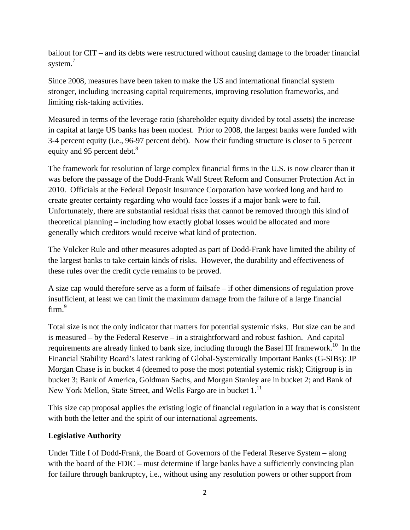bailout for CIT – and its debts were restructured without causing damage to the broader financial system.<sup>7</sup>

Since 2008, measures have been taken to make the US and international financial system stronger, including increasing capital requirements, improving resolution frameworks, and limiting risk-taking activities.

Measured in terms of the leverage ratio (shareholder equity divided by total assets) the increase in capital at large US banks has been modest. Prior to 2008, the largest banks were funded with 3-4 percent equity (i.e., 96-97 percent debt). Now their funding structure is closer to 5 percent equity and 95 percent debt.<sup>8</sup>

The framework for resolution of large complex financial firms in the U.S. is now clearer than it was before the passage of the Dodd-Frank Wall Street Reform and Consumer Protection Act in 2010. Officials at the Federal Deposit Insurance Corporation have worked long and hard to create greater certainty regarding who would face losses if a major bank were to fail. Unfortunately, there are substantial residual risks that cannot be removed through this kind of theoretical planning – including how exactly global losses would be allocated and more generally which creditors would receive what kind of protection.

The Volcker Rule and other measures adopted as part of Dodd-Frank have limited the ability of the largest banks to take certain kinds of risks. However, the durability and effectiveness of these rules over the credit cycle remains to be proved.

A size cap would therefore serve as a form of failsafe – if other dimensions of regulation prove insufficient, at least we can limit the maximum damage from the failure of a large financial firm.<sup>9</sup>

Total size is not the only indicator that matters for potential systemic risks. But size can be and is measured – by the Federal Reserve – in a straightforward and robust fashion. And capital requirements are already linked to bank size, including through the Basel III framework.<sup>10</sup> In the Financial Stability Board's latest ranking of Global-Systemically Important Banks (G-SIBs): JP Morgan Chase is in bucket 4 (deemed to pose the most potential systemic risk); Citigroup is in bucket 3; Bank of America, Goldman Sachs, and Morgan Stanley are in bucket 2; and Bank of New York Mellon, State Street, and Wells Fargo are in bucket 1.<sup>11</sup>

This size cap proposal applies the existing logic of financial regulation in a way that is consistent with both the letter and the spirit of our international agreements.

#### **Legislative Authority**

Under Title I of Dodd-Frank, the Board of Governors of the Federal Reserve System – along with the board of the FDIC – must determine if large banks have a sufficiently convincing plan for failure through bankruptcy, i.e., without using any resolution powers or other support from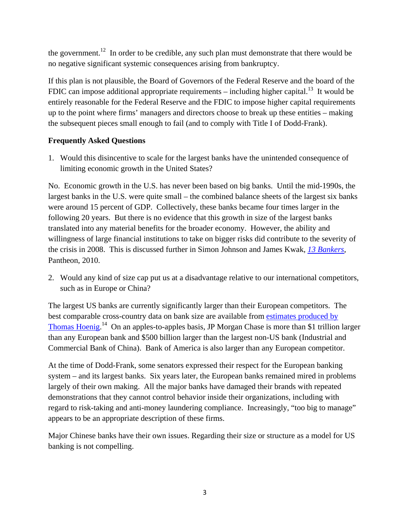the government.<sup>12</sup> In order to be credible, any such plan must demonstrate that there would be no negative significant systemic consequences arising from bankruptcy.

If this plan is not plausible, the Board of Governors of the Federal Reserve and the board of the FDIC can impose additional appropriate requirements – including higher capital.<sup>13</sup> It would be entirely reasonable for the Federal Reserve and the FDIC to impose higher capital requirements up to the point where firms' managers and directors choose to break up these entities – making the subsequent pieces small enough to fail (and to comply with Title I of Dodd-Frank).

# **Frequently Asked Questions**

1. Would this disincentive to scale for the largest banks have the unintended consequence of limiting economic growth in the United States?

No. Economic growth in the U.S. has never been based on big banks. Until the mid-1990s, the largest banks in the U.S. were quite small – the combined balance sheets of the largest six banks were around 15 percent of GDP. Collectively, these banks became four times larger in the following 20 years. But there is no evidence that this growth in size of the largest banks translated into any material benefits for the broader economy. However, the ability and willingness of large financial institutions to take on bigger risks did contribute to the severity of the crisis in 2008. This is discussed further in Simon Johnson and James Kwak, *13 Bankers*, Pantheon, 2010.

2. Would any kind of size cap put us at a disadvantage relative to our international competitors, such as in Europe or China?

The largest US banks are currently significantly larger than their European competitors. The best comparable cross-country data on bank size are available from estimates produced by Thomas Hoenig.<sup>14</sup> On an apples-to-apples basis, JP Morgan Chase is more than \$1 trillion larger than any European bank and \$500 billion larger than the largest non-US bank (Industrial and Commercial Bank of China). Bank of America is also larger than any European competitor.

At the time of Dodd-Frank, some senators expressed their respect for the European banking system – and its largest banks. Six years later, the European banks remained mired in problems largely of their own making. All the major banks have damaged their brands with repeated demonstrations that they cannot control behavior inside their organizations, including with regard to risk-taking and anti-money laundering compliance. Increasingly, "too big to manage" appears to be an appropriate description of these firms.

Major Chinese banks have their own issues. Regarding their size or structure as a model for US banking is not compelling.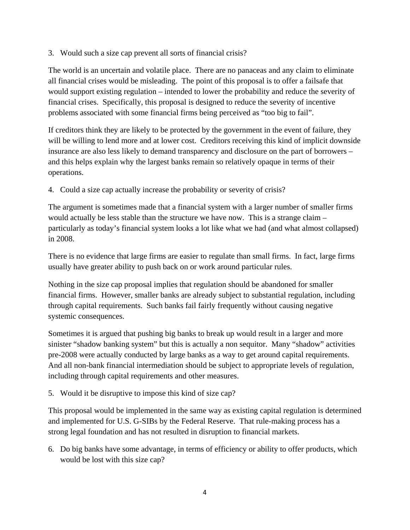3. Would such a size cap prevent all sorts of financial crisis?

The world is an uncertain and volatile place. There are no panaceas and any claim to eliminate all financial crises would be misleading. The point of this proposal is to offer a failsafe that would support existing regulation – intended to lower the probability and reduce the severity of financial crises. Specifically, this proposal is designed to reduce the severity of incentive problems associated with some financial firms being perceived as "too big to fail".

If creditors think they are likely to be protected by the government in the event of failure, they will be willing to lend more and at lower cost. Creditors receiving this kind of implicit downside insurance are also less likely to demand transparency and disclosure on the part of borrowers – and this helps explain why the largest banks remain so relatively opaque in terms of their operations.

4. Could a size cap actually increase the probability or severity of crisis?

The argument is sometimes made that a financial system with a larger number of smaller firms would actually be less stable than the structure we have now. This is a strange claim – particularly as today's financial system looks a lot like what we had (and what almost collapsed) in 2008.

There is no evidence that large firms are easier to regulate than small firms. In fact, large firms usually have greater ability to push back on or work around particular rules.

Nothing in the size cap proposal implies that regulation should be abandoned for smaller financial firms. However, smaller banks are already subject to substantial regulation, including through capital requirements. Such banks fail fairly frequently without causing negative systemic consequences.

Sometimes it is argued that pushing big banks to break up would result in a larger and more sinister "shadow banking system" but this is actually a non sequitor. Many "shadow" activities pre-2008 were actually conducted by large banks as a way to get around capital requirements. And all non-bank financial intermediation should be subject to appropriate levels of regulation, including through capital requirements and other measures.

5. Would it be disruptive to impose this kind of size cap?

This proposal would be implemented in the same way as existing capital regulation is determined and implemented for U.S. G-SIBs by the Federal Reserve. That rule-making process has a strong legal foundation and has not resulted in disruption to financial markets.

6. Do big banks have some advantage, in terms of efficiency or ability to offer products, which would be lost with this size cap?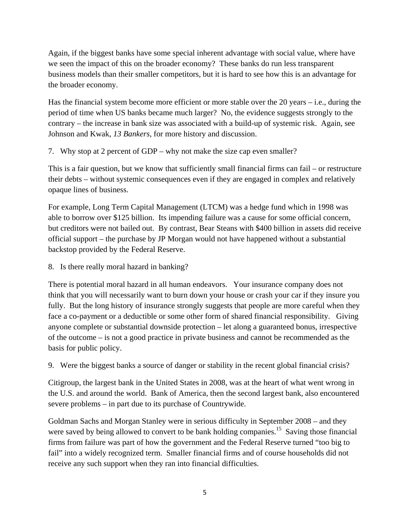Again, if the biggest banks have some special inherent advantage with social value, where have we seen the impact of this on the broader economy? These banks do run less transparent business models than their smaller competitors, but it is hard to see how this is an advantage for the broader economy.

Has the financial system become more efficient or more stable over the 20 years – i.e., during the period of time when US banks became much larger? No, the evidence suggests strongly to the contrary – the increase in bank size was associated with a build-up of systemic risk. Again, see Johnson and Kwak, *13 Bankers*, for more history and discussion.

7. Why stop at 2 percent of GDP – why not make the size cap even smaller?

This is a fair question, but we know that sufficiently small financial firms can fail – or restructure their debts – without systemic consequences even if they are engaged in complex and relatively opaque lines of business.

For example, Long Term Capital Management (LTCM) was a hedge fund which in 1998 was able to borrow over \$125 billion. Its impending failure was a cause for some official concern, but creditors were not bailed out. By contrast, Bear Steans with \$400 billion in assets did receive official support – the purchase by JP Morgan would not have happened without a substantial backstop provided by the Federal Reserve.

8. Is there really moral hazard in banking?

There is potential moral hazard in all human endeavors. Your insurance company does not think that you will necessarily want to burn down your house or crash your car if they insure you fully. But the long history of insurance strongly suggests that people are more careful when they face a co-payment or a deductible or some other form of shared financial responsibility. Giving anyone complete or substantial downside protection – let along a guaranteed bonus, irrespective of the outcome – is not a good practice in private business and cannot be recommended as the basis for public policy.

9. Were the biggest banks a source of danger or stability in the recent global financial crisis?

Citigroup, the largest bank in the United States in 2008, was at the heart of what went wrong in the U.S. and around the world. Bank of America, then the second largest bank, also encountered severe problems – in part due to its purchase of Countrywide.

Goldman Sachs and Morgan Stanley were in serious difficulty in September 2008 – and they were saved by being allowed to convert to be bank holding companies.<sup>15</sup> Saving those financial firms from failure was part of how the government and the Federal Reserve turned "too big to fail" into a widely recognized term. Smaller financial firms and of course households did not receive any such support when they ran into financial difficulties.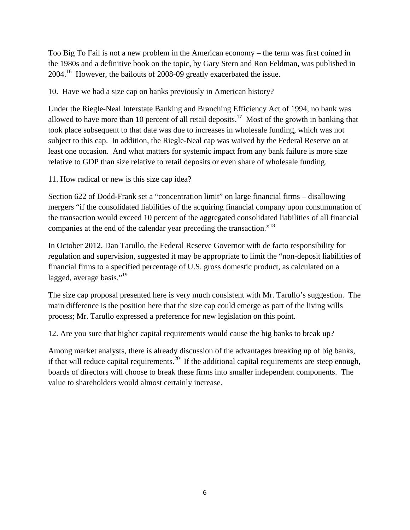Too Big To Fail is not a new problem in the American economy – the term was first coined in the 1980s and a definitive book on the topic, by Gary Stern and Ron Feldman, was published in 2004.16 However, the bailouts of 2008-09 greatly exacerbated the issue.

10. Have we had a size cap on banks previously in American history?

Under the Riegle-Neal Interstate Banking and Branching Efficiency Act of 1994, no bank was allowed to have more than 10 percent of all retail deposits.<sup>17</sup> Most of the growth in banking that took place subsequent to that date was due to increases in wholesale funding, which was not subject to this cap. In addition, the Riegle-Neal cap was waived by the Federal Reserve on at least one occasion. And what matters for systemic impact from any bank failure is more size relative to GDP than size relative to retail deposits or even share of wholesale funding.

11. How radical or new is this size cap idea?

Section 622 of Dodd-Frank set a "concentration limit" on large financial firms – disallowing mergers "if the consolidated liabilities of the acquiring financial company upon consummation of the transaction would exceed 10 percent of the aggregated consolidated liabilities of all financial companies at the end of the calendar year preceding the transaction."<sup>18</sup>

In October 2012, Dan Tarullo, the Federal Reserve Governor with de facto responsibility for regulation and supervision, suggested it may be appropriate to limit the "non-deposit liabilities of financial firms to a specified percentage of U.S. gross domestic product, as calculated on a lagged, average basis."<sup>19</sup>

The size cap proposal presented here is very much consistent with Mr. Tarullo's suggestion. The main difference is the position here that the size cap could emerge as part of the living wills process; Mr. Tarullo expressed a preference for new legislation on this point.

12. Are you sure that higher capital requirements would cause the big banks to break up?

Among market analysts, there is already discussion of the advantages breaking up of big banks, if that will reduce capital requirements.<sup>20</sup> If the additional capital requirements are steep enough, boards of directors will choose to break these firms into smaller independent components. The value to shareholders would almost certainly increase.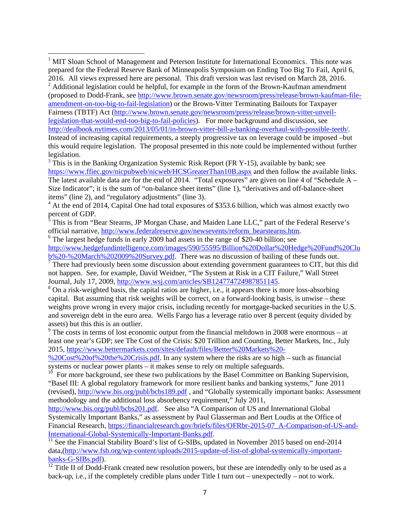<sup>8</sup> On a risk-weighted basis, the capital ratios are higher, i.e., it appears there is more loss-absorbing capital. But assuming that risk weights will be correct, on a forward-looking basis, is unwise – these weights prove wrong in every major crisis, including recently for mortgage-backed securities in the U.S. and sovereign debt in the euro area. Wells Fargo has a leverage ratio over 8 percent (equity divided by assets) but this this is an outlier.

 $9^9$  The costs in terms of lost economic output from the financial meltdown in 2008 were enormous – at least one year's GDP; see The Cost of the Crisis: \$20 Trillion and Counting, Better Markets, Inc., July 2015, https://www.bettermarkets.com/sites/default/files/Better%20Markets%20-

%20Cost%20of%20the%20Crisis.pdf. In any system where the risks are so high – such as financial systems or nuclear power plants – it makes sense to rely on multiple safeguards.

 $10<sup>10</sup>$  For more background, see these two publications by the Basel Committee on Banking Supervision, "Basel III: A global regulatory framework for more resilient banks and banking systems," June 2011 (revised), http://www.bis.org/publ/bcbs189.pdf , and "Globally systemically important banks: Assessment methodology and the additional loss absorbency requirement," July 2011,

http://www.bis.org/publ/bcbs201.pdf. See also "A Comparison of US and International Global Systemically Important Banks," as assessment by Paul Glasserman and Bert Loudis at the Office of Financial Research, https://financialresearch.gov/briefs/files/OFRbr-2015-07\_A-Comparison-of-US-and-International-Global-Systemically-Important-Banks.pdf.<br><sup>11</sup> See the Financial Stability Board's list of G-SIBs, updated in November 2015 based on end-2014

data,(http://www.fsb.org/wp-content/uploads/2015-update-of-list-of-global-systemically-importantbanks-G-SIBs.pdf).

 $\frac{12}{12}$  Title II of Dodd-Frank created new resolution powers, but these are intendedly only to be used as a back-up, i.e., if the completely credible plans under Title I turn out – unexpectedly – not to work.

<sup>&</sup>lt;sup>1</sup> MIT Sloan School of Management and Peterson Institute for International Economics. This note was prepared for the Federal Reserve Bank of Minneapolis Symposium on Ending Too Big To Fail, April 6, 2016. All views expressed here are personal. This draft version was last revised on March 28, 2016.  $2$  Additional legislation could be helpful, for example in the form of the Brown-Kaufman amendment (proposed to Dodd-Frank, see http://www.brown.senate.gov/newsroom/press/release/brown-kaufman-fileamendment-on-too-big-to-fail-legislation) or the Brown-Vitter Terminating Bailouts for Taxpayer Fairness (TBTF) Act (http://www.brown.senate.gov/newsroom/press/release/brown-vitter-unveillegislation-that-would-end-too-big-to-fail-policies). For more background and discussion, see http://dealbook.nytimes.com/2013/05/01/in-brown-vitter-bill-a-banking-overhaul-with-possible-teeth/. Instead of increasing capital requirements, a steeply progressive tax on leverage could be imposed –but this would require legislation. The proposal presented in this note could be implemented without further legislation.

 $3$  This is in the Banking Organization Systemic Risk Report (FR Y-15), available by bank; see https://www.ffiec.gov/nicpubweb/nicweb/HCSGreaterThan10B.aspx and then follow the available links. The latest available data are for the end of 2014. "Total exposures" are given on line 4 of "Schedule A – Size Indicator"; it is the sum of "on-balance sheet items" (line 1), "derivatives and off-balance-sheet items" (line 2), and "regulatory adjustments" (line 3).

<sup>&</sup>lt;sup>4</sup> At the end of 2014, Capital One had total exposures of \$353.6 billion, which was almost exactly two percent of GDP.<br><sup>5</sup> This is from "P

This is from "Bear Stearns, JP Morgan Chase, and Maiden Lane LLC," part of the Federal Reserve's official narrative, http://www.federalreserve.gov/newsevents/reform\_bearstearns.htm. 6

 $6$  The largest hedge funds in early 2009 had assets in the range of \$20-40 billion; see http://www.hedgefundintelligence.com/images/590/55595/Billion%20Dollar%20Hedge%20Fund%20Clu b%20-%20March%202009%20Survey.pdf. There was no discussion of bailing of these funds out.

<sup>&</sup>lt;sup>7</sup> There had previously been some discussion about extending government guarantees to CIT, but this did not happen. See, for example, David Weidner, "The System at Risk in a CIT Failure," Wall Street Journal, July 17, 2009, http://www.wsj.com/articles/SB124774724987851145. 8